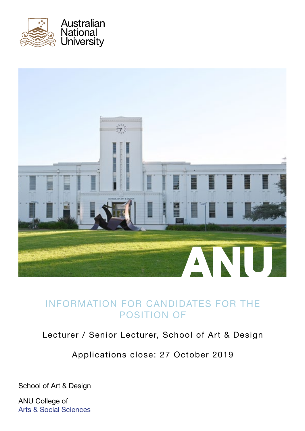



# INFORMATION FOR CANDIDATES FOR THE POSITION OF

# Lecturer / Senior Lecturer, School of Art & Design

Applications close: 27 October 2019

School of Art & Design

ANU College of Arts & Social Sciences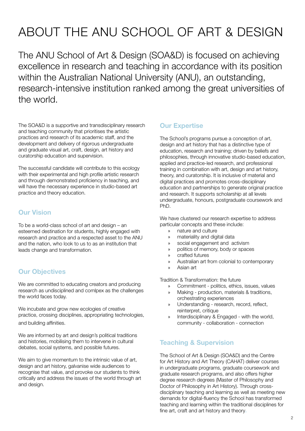# ABOUT THE ANU SCHOOL OF ART & DESIGN

The ANU School of Art & Design (SOA&D) is focused on achieving excellence in research and teaching in accordance with its position within the Australian National University (ANU), an outstanding, research-intensive institution ranked among the great universities of the world.

The SOA&D is a supportive and transdisciplinary research and teaching community that prioritises the artistic practices and research of its academic staff, and the development and delivery of rigorous undergraduate and graduate visual art, craft, design, art history and curatorship education and supervision.

The successful candidate will contribute to this ecology with their experimental and high profile artistic research and through demonstrated proficiency in teaching, and will have the necessary experience in studio-based art practice and theory education.

## Our Vision

To be a world-class school of art and design – an esteemed destination for students, highly engaged with research and practice and a respected asset to the ANU and the nation, who look to us to as an institution that leads change and transformation.

## **Our Objectives**

We are committed to educating creators and producing research as undisciplined and comlpex as the challenges the world faces today.

We incubate and grow new ecologies of creative practice, crossing disciplines, appropriating technologies, and building affinities.

We are informed by art and design's political traditions and histories, mobilising them to intervene in cultural debates, social systems, and possible futures.

We aim to give momentum to the intrinsic value of art, design and art history, galvanise wide audiences to recognise that value, and provoke our students to think critically and address the issues of the world through art and design.

## Our Expertise

The School's programs pursue a conception of art, design and art history that has a distinctive type of education, research and training; driven by beliefs and philosophies, through innovative studio-based education, applied and practice-led research, and professional training in combination with art, design and art history, theory, and curatorship. It is inclusive of material and digital practices and promotes cross-disciplinary education and partnerships to generate original practice and research. It supports scholarship at all levels undergraduate, honours, postgraduate coursework and PhD.

We have clustered our research expertise to address particular concepts and these include:

- » nature and culture
- » materiality and digital data
- » social engagement and activism
- » politics of memory, body or spaces
- » crafted futures
- » Australian art from colonial to contemporary
- » Asian art

Tradition & Transformation: the future

- » Commitment politics, ethics, issues, values
- » Making production, materials & traditions, orchestrating experiences
- » Understanding research, record, reflect, reinterpret, critique
- » Interdisciplinary & Engaged with the world, community - collaboration - connection

## Teaching & Supervision

The School of Art & Design (SOA&D) and the Centre for Art History and Art Theory (CAHAT) deliver courses in undergraduate programs, graduate coursework and graduate research programs, and also offers higher degree research degrees (Master of Philosophy and Doctor of Philosophy in Art History). Through crossdisciplinary teaching and learning as well as meeting new demands for digital-fluency the School has transformed teaching and learning within the traditional disciplines for fine art, craft and art history and theory.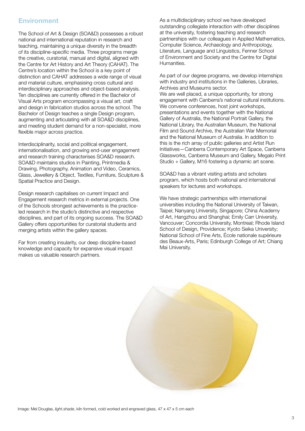#### **Environment**

The School of Art & Design (SOA&D) possesses a robust national and international reputation in research and teaching, maintaining a unique diversity in the breadth of its discipline-specific media. Three programs merge the creative, curatorial, manual and digital, aligned with the Centre for Art History and Art Theory (CAHAT). The Centre's location within the School is a key point of distinction and CAHAT addresses a wide range of visual and material culture, emphasising cross cultural and interdisciplinary approaches and object-based analysis. Ten disciplines are currently offered in the Bachelor of Visual Arts program encompassing a visual art, craft and design in fabrication studios across the school. The Bachelor of Design teaches a single Design program, augmenting and articulating with all SOA&D disciplines, and meeting student demand for a non-specialist, more flexible major across practice.

Interdisciplinarity, social and political engagement, internationalisation, and growing end-user engagement and research training characterises SOA&D research. SOA&D maintains studios in Painting, Printmedia & Drawing, Photography, Animation and Video, Ceramics, Glass, Jewellery & Object, Textiles, Furniture, Sculpture & Spatial Practice and Design.

Design research capitalises on current Impact and Engagement research metrics in external projects. One of the Schools strongest achievements is the practiceled research in the studio's distinctive and respective disciplines, and part of its ongoing success. The SOA&D Gallery offers opportunities for curatorial students and merging artists within the gallery spaces.

Far from creating insularity, our deep discipline-based knowledge and capacity for expansive visual impact makes us valuable research partners.

As a multidisciplinary school we have developed outstanding collegiate interaction with other disciplines at the university, fostering teaching and research partnerships with our colleagues in Applied Mathematics, Computer Science, Archaeology and Anthropology, Literature, Language and Linguistics, Fenner School of Environment and Society and the Centre for Digital Humanities.

As part of our degree programs, we develop internships with industry and institutions in the Galleries, Libraries, Archives and Museums sector. We are well placed, a unique opportunity, for strong engagement with Canberra's national cultural institutions. We convene conferences, host joint workshops, presentations and events together with the National Gallery of Australia, the National Portrait Gallery, the National Library, the Australian Museum, the National Film and Sound Archive, the Australian War Memorial and the National Museum of Australia. In addition to this is the rich array of public galleries and Artist Run Initiatives—Canberra Contemporary Art Space, Canberra Glassworks, Canberra Museum and Gallery, Megalo Print Studio + Gallery, M16 fostering a dynamic art scene.

SOA&D has a vibrant visiting artists and scholars program, which hosts both national and international speakers for lectures and workshops.

We have strategic partnerships with international universities including the National University of Taiwan, Taipei; Nanyang University, Singapore; China Academy of Art, Hangzhou and Shanghai; Emily Carr University, Vancouver; Concordia University, Montreal; Rhode Island School of Design, Providence; Kyoto Seika University; National School of Fine Arts, École nationale supérieure des Beaux-Arts, Paris; Edinburgh College of Art; Chiang Mai University.

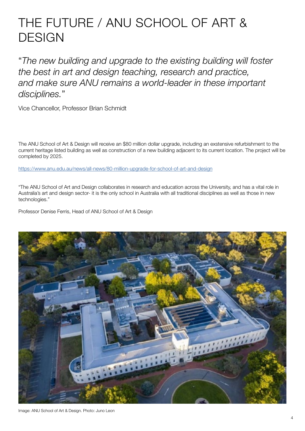# THE FUTURE / ANU SCHOOL OF ART & **DESIGN**

"*The new building and upgrade to the existing building will foster the best in art and design teaching, research and practice, and make sure ANU remains a world-leader in these important disciplines.*"

Vice Chancellor, Professor Brian Schmidt

The ANU School of Art & Design will receive an \$80 million dollar upgrade, including an exstensive refurbishment to the current heritage listed building as well as construction of a new building adjacent to its current location. The project will be completed by 2025.

<https://www.anu.edu.au/news/all-news/80-million-upgrade-for-school-of-art-and-design>

"The ANU School of Art and Design collaborates in research and education across the University, and has a vital role in Australia's art and design sector- it is the only school in Australia with all traditional disciplines as well as those in new technologies."

Professor Denise Ferris, Head of ANU School of Art & Design

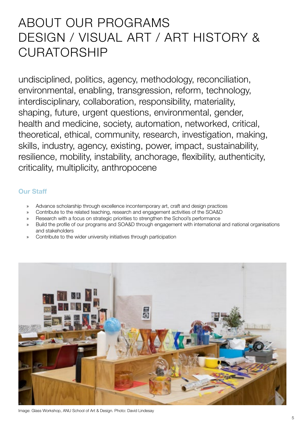# ABOUT OUR PROGRAMS DESIGN / VISUAL ART / ART HISTORY & CURATORSHIP

undisciplined, politics, agency, methodology, reconciliation, environmental, enabling, transgression, reform, technology, interdisciplinary, collaboration, responsibility, materiality, shaping, future, urgent questions, environmental, gender, health and medicine, society, automation, networked, critical, theoretical, ethical, community, research, investigation, making, skills, industry, agency, existing, power, impact, sustainability, resilience, mobility, instability, anchorage, flexibility, authenticity, criticality, multiplicity, anthropocene

### Our Staff

- » Advance scholarship through excellence incontemporary art, craft and design practices
- » Contribute to the related teaching, research and engagement activities of the SOA&D
- » Research with a focus on strategic priorities to strengthen the School's performance
- » Build the profile of our programs and SOA&D through engagement with international and national organisations and stakeholders
- Contribute to the wider university initiatives through participation



Image: Glass Workshop, ANU School of Art & Design. Photo: David Lindesay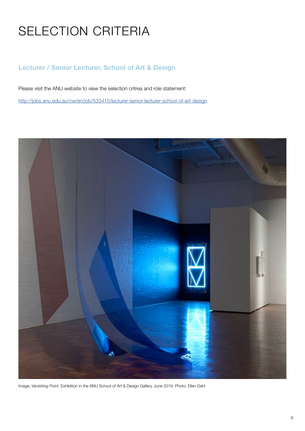# SELECTION CRITERIA

## Lecturer / Senior Lecturer, School of Art & Design

Please visit the ANU website to view the selection critrea and role statement:

[http://jobs.anu.edu.au/cw/en/job/533415/lecturer-senior-lecturer-school-of-art-design](mailto:/cw/en/job/533415/lecturer-senior-lecturer-school-of-art-design%20?subject=)



Image: *Vanishing Point*, Exhibition in the ANU School of Art & Design Gallery, June 2019. Photo: Ellen Dahl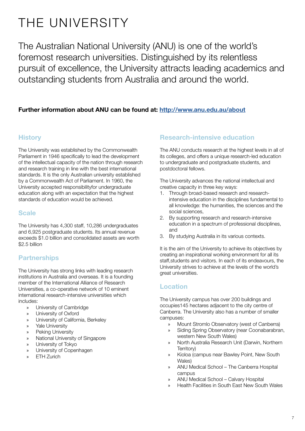# THE UNIVERSITY

The Australian National University (ANU) is one of the world's foremost research universities. Distinguished by its relentless pursuit of excellence, the University attracts leading academics and outstanding students from Australia and around the world.

### Further information about ANU can be found at: [http://www.anu.edu.au/about](http://www.anu.edu.au/about.)

### **History**

The University was established by the Commonwealth Parliament in 1946 specifically to lead the development of the intellectual capacity of the nation through research and research training in line with the best international standards. It is the only Australian university established by a Commonwealth Act of Parliament. In 1960, the University accepted responsibilityfor undergraduate education along with an expectation that the highest standards of education would be achieved.

### Scale

The University has 4,300 staff, 10,286 undergraduates and 6,925 postgraduate students. Its annual revenue exceeds \$1.0 billion and consolidated assets are worth \$2.5 billion

## **Partnerships**

The University has strong links with leading research institutions in Australia and overseas. It is a founding member of the International Alliance of Research Universities, a co-operative network of 10 eminent international research-intensive universities which includes:

- » University of Cambridge
- » University of Oxford
- » University of California, Berkeley
- » Yale University
- » Peking University
- » National University of Singapore
- » University of Tokyo
- » University of Copenhagen
- » ETH Zurich

### Research-intensive education

The ANU conducts research at the highest levels in all of its colleges, and offers a unique research-led education to undergraduate and postgraduate students, and postdoctoral fellows.

The University advances the national intellectual and creative capacity in three key ways:

- 1. Through broad-based research and researchintensive education in the disciplines fundamental to all knowledge: the humanities, the sciences and the social sciences,
- 2. By supporting research and research-intensive education in a spectrum of professional disciplines, and
- 3. By studying Australia in its various contexts.

It is the aim of the University to achieve its objectives by creating an inspirational working environment for all its staff,students and visitors. In each of its endeavours, the University strives to achieve at the levels of the world's great universities.

### Location

The University campus has over 200 buildings and occupies145 hectares adjacent to the city centre of Canberra. The University also has a number of smaller campuses:

- » Mount Stromlo Observatory (west of Canberra)
- » Siding Spring Observatory (near Coonabarabran, western New South Wales)
- » North Australia Research Unit (Darwin, Northern Territory)
- » Kioloa (campus near Bawley Point, New South Wales)
- » ANU Medical School The Canberra Hospital campus
- » ANU Medical School Calvary Hospital
- » Health Facilities in South East New South Wales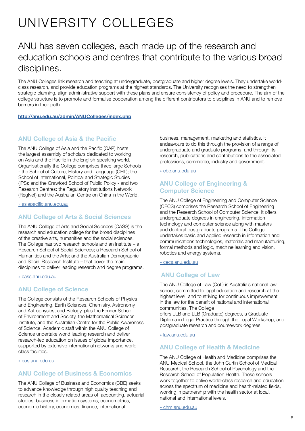# UNIVERSITY COLLEGES

# ANU has seven colleges, each made up of the research and education schools and centres that contribute to the various broad disciplines.

The ANU Colleges link research and teaching at undergraduate, postgraduate and higher degree levels. They undertake worldclass research, and provide education programs at the highest standards. The University recognises the need to strengthen strategic planning, align administrative support with these plans and ensure consistency of policy and procedure. The aim of the college structure is to promote and formalise cooperation among the different contributors to disciplines in ANU and to remove barriers in their path.

#### <http://anu.edu.au/admin/ANUColleges/index.php>

#### ANU College of Asia & the Pacific

The ANU College of Asia and the Pacific (CAP) hosts the largest assembly of scholars dedicated to working on Asia and the Pacific in the English-speaking world. Organisationally the College comprises three large Schools - the School of Culture, History and Language (CHL); the School of International, Political and Strategic Studies (IPS); and the Crawford School of Public Policy - and two Research Centres: the Regulatory Institutions Network (RegNet) and the Australian Centre on China in the World.

[» asiapacific.anu.edu.au](http://» asiapacific.anu.edu.au )

#### ANU College of Arts & Social Sciences

The ANU College of Arts and Social Sciences (CASS) is the research and education college for the broad disciplines of the creative arts, humanities and the social sciences. The College has two research schools and an Institute – a Research School of Social Sciences; a Research School of Humanities and the Arts; and the Australian Demographic and Social Research Institute – that cover the main disciplines to deliver leading research and degree programs.

[» cass.anu.edu.au](http://» cass.anu.edu.au )

#### ANU College of Science

The College consists of the Research Schools of Physics and Engineering, Earth Sciences, Chemistry, Astronomy and Astrophysics, and Biology, plus the Fenner School of Environment and Society, the Mathematical Sciences Institute, and the Australian Centre for the Public Awareness of Science. Academic staff within the ANU College of Science undertake world leading research and deliver research-led education on issues of global importance, supported by extensive international networks and world class facilities.

[» cos.anu.edu.au](http://» cos.anu.edu.au )

#### ANU College of Business & Economics

The ANU College of Business and Economics (CBE) seeks to advance knowledge through high quality teaching and research in the closely related areas of accounting, actuarial studies, business information systems, econometrics, economic history, economics, finance, international

business, management, marketing and statistics. It endeavours to do this through the provision of a range of undergraduate and graduate programs, and through its research, publications and contributions to the associated professions, commerce, industry and government.

[» cbe.anu.edu.au](http://» cbe.anu.edu.au )

#### ANU College of Engineering & Computer Science

The ANU College of Engineering and Computer Science (CECS) comprises the Research School of Engineering and the Research School of Computer Science. It offers undergraduate degrees in engineering, information technology and computer science along with masters and doctoral postgraduate programs. The College undertakes basic and applied research in information and communications technologies, materials and manufacturing, formal methods and logic, machine learning and vision, robotics and energy systems.

[» cecs.anu.edu.au](http://» cecs.anu.edu.au )

#### ANU College of Law

The ANU College of Law (CoL) is Australia's national law school, committed to legal education and research at the highest level, and to striving for continuous improvement in the law for the benefit of national and international communities. The College offers LLB and LLB (Graduate) degrees, a Graduate Diploma in Legal Practice through the Legal Workshop, and postgraduate research and coursework degrees.

[» law.anu.edu.au](http://» law.anu.edu.au )

#### ANU College of Health & Medicine

The ANU College of Health and Medicine comprises the ANU Medical School, the John Curtin School of Medical Research, the Research School of Psychology and the Research School of Population Health. These schools work together to delive world-class research and education across the spectrum of medicine and health-related fields, working in partnership with the health sector at local, national and international levels.

[» chm.anu.edu.au](http://» chm.anu.edu.au)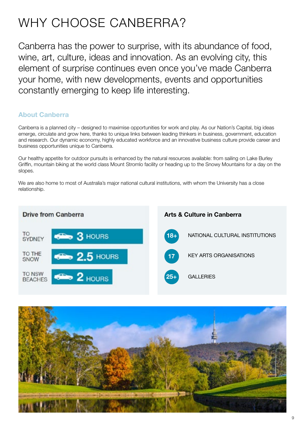# WHY CHOOSE CANBERRA?

Canberra has the power to surprise, with its abundance of food, wine, art, culture, ideas and innovation. As an evolving city, this element of surprise continues even once you've made Canberra your home, with new developments, events and opportunities constantly emerging to keep life interesting.

## About Canberra

Canberra is a planned city – designed to maximise opportunities for work and play. As our Nation's Capital, big ideas emerge, circulate and grow here, thanks to unique links between leading thinkers in business, government, education and research. Our dynamic economy, highly educated workforce and an innovative business culture provide career and business opportunities unique to Canberra.

Our healthy appetite for outdoor pursuits is enhanced by the natural resources available: from sailing on Lake Burley Griffin, mountain biking at the world class Mount Stromlo facility or heading up to the Snowy Mountains for a day on the slopes.

We are also home to most of Australia's major national cultural institutions, with whom the University has a close relationship.



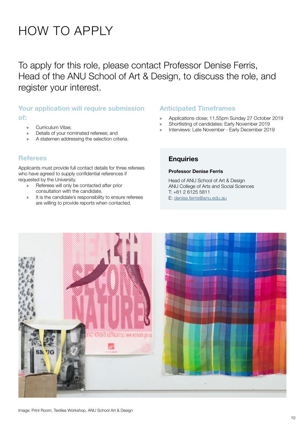# HOW TO APPLY

To apply for this role, please contact Professor Denise Ferris, Head of the ANU School of Art & Design, to discuss the role, and register your interest.

## Your application will require submission of:

- » Curriculum Vitae;
- » Details of your nominated referees; and
- A statemen addressing the selection criteria.

### **Referees**

Applicants must provide full contact details for three referees who have agreed to supply confidential references if requested by the University.

- » Referees will only be contacted after prior consultation with the candidate.
- » It is the candidate's responsibility to ensure referees are willing to provide reports when contacted.

#### Anticipated Timeframes

- » Applications close: 11.55pm Sunday 27 October 2019
- » Shortlisting of candidates: Early November 2019
- » Interviews: Late November Early December 2019

### **Enquiries**

#### Professor Denise Ferris

Head of ANU School of Art & Design ANU College of Arts and Social Sciences T: +61 2 6125 5811 E: [denise.ferris@anu.edu.au](mailto:denise.ferris%40anu.edu.au?subject=Enquiry%20from%20Recruitment%20Brochure%20%7C%20Art%20%26%20Design)